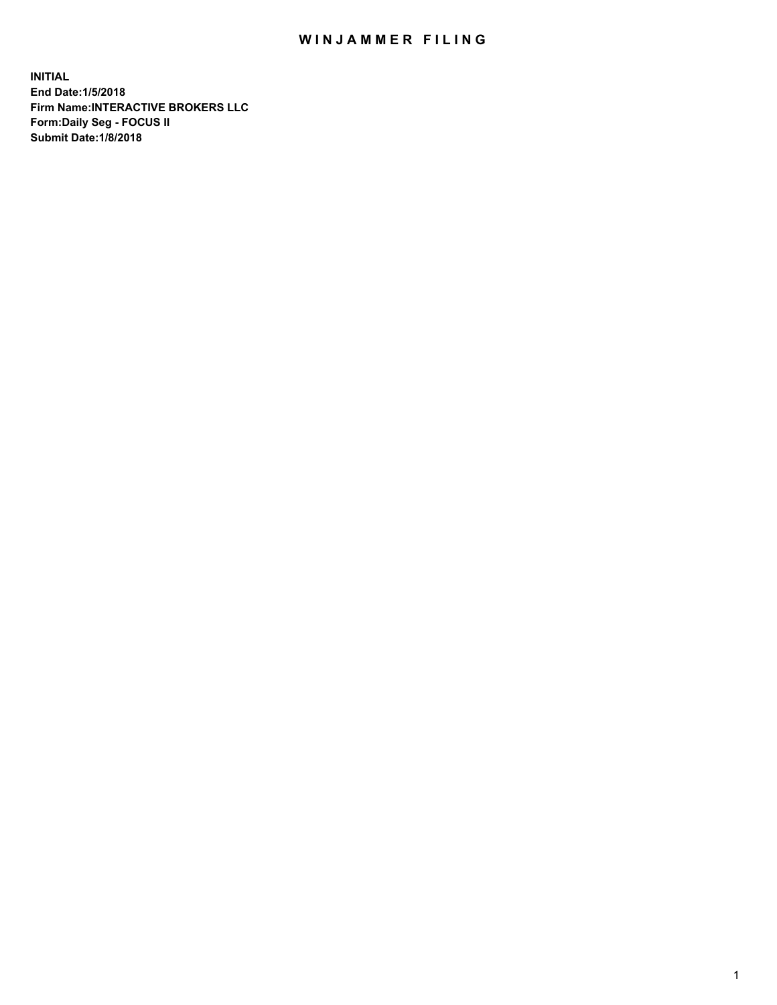## WIN JAMMER FILING

**INITIAL End Date:1/5/2018 Firm Name:INTERACTIVE BROKERS LLC Form:Daily Seg - FOCUS II Submit Date:1/8/2018**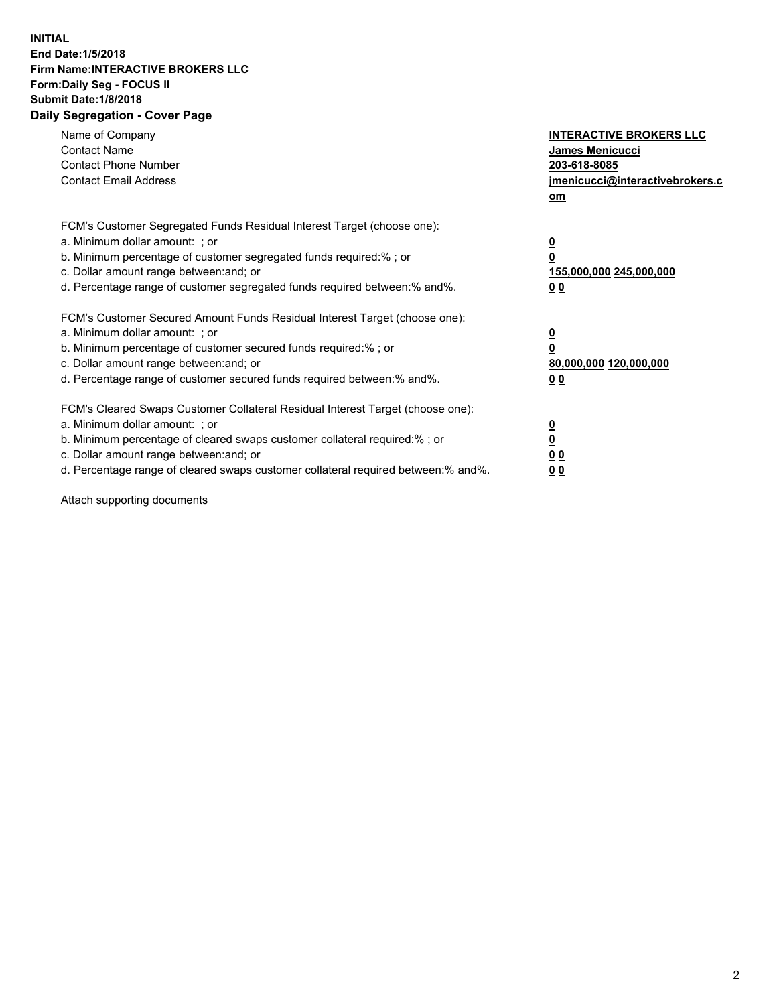## **INITIAL End Date:1/5/2018 Firm Name:INTERACTIVE BROKERS LLC Form:Daily Seg - FOCUS II Submit Date:1/8/2018 Daily Segregation - Cover Page**

| Name of Company<br><b>Contact Name</b><br><b>Contact Phone Number</b><br><b>Contact Email Address</b>                                                                                                                                                                                                                          | <b>INTERACTIVE BROKERS LLC</b><br>James Menicucci<br>203-618-8085<br>jmenicucci@interactivebrokers.c<br>om |
|--------------------------------------------------------------------------------------------------------------------------------------------------------------------------------------------------------------------------------------------------------------------------------------------------------------------------------|------------------------------------------------------------------------------------------------------------|
| FCM's Customer Segregated Funds Residual Interest Target (choose one):<br>a. Minimum dollar amount: ; or<br>b. Minimum percentage of customer segregated funds required:%; or<br>c. Dollar amount range between: and; or<br>d. Percentage range of customer segregated funds required between:% and%.                          | $\overline{\mathbf{0}}$<br>$\overline{\mathbf{0}}$<br>155,000,000 245,000,000<br>00                        |
| FCM's Customer Secured Amount Funds Residual Interest Target (choose one):<br>a. Minimum dollar amount: ; or<br>b. Minimum percentage of customer secured funds required:%; or<br>c. Dollar amount range between: and; or<br>d. Percentage range of customer secured funds required between: % and %.                          | $\overline{\mathbf{0}}$<br>0<br>80,000,000 120,000,000<br>00                                               |
| FCM's Cleared Swaps Customer Collateral Residual Interest Target (choose one):<br>a. Minimum dollar amount: ; or<br>b. Minimum percentage of cleared swaps customer collateral required:% ; or<br>c. Dollar amount range between: and; or<br>d. Percentage range of cleared swaps customer collateral required between:% and%. | $\overline{\mathbf{0}}$<br>$\underline{\mathbf{0}}$<br>0 <sub>0</sub><br>0 <sub>0</sub>                    |

Attach supporting documents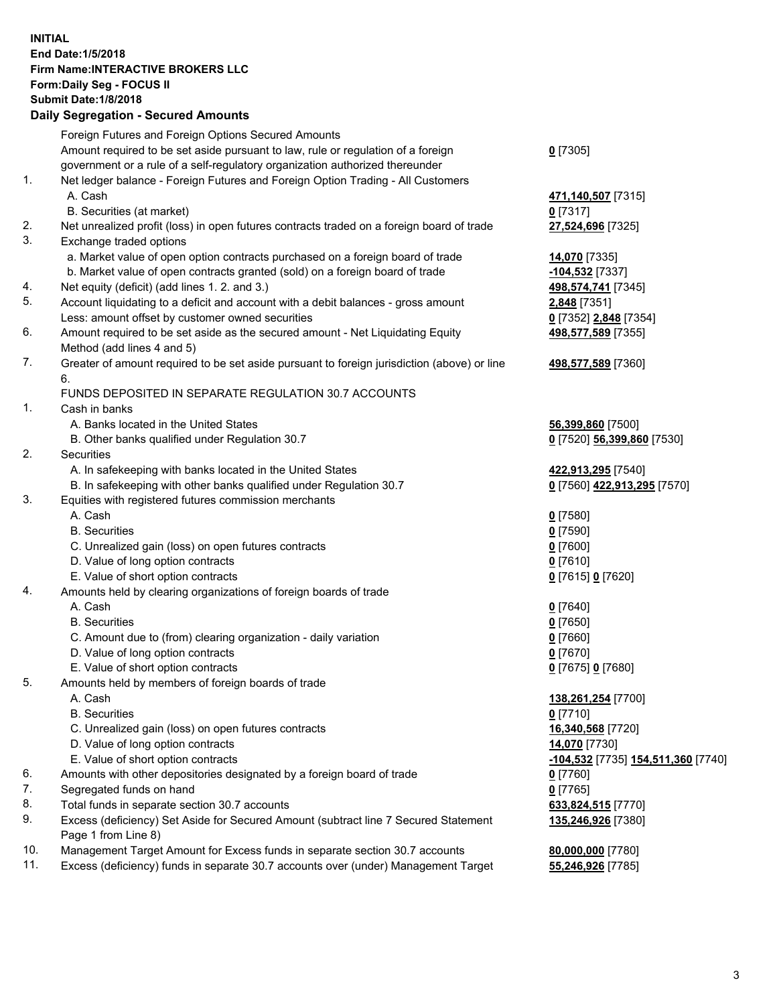## **INITIAL End Date:1/5/2018 Firm Name:INTERACTIVE BROKERS LLC Form:Daily Seg - FOCUS II Submit Date:1/8/2018 Daily Segregation - Secured Amounts**

|     | Daily Jegregation - Jeculed Aniounts                                                                       |                                    |
|-----|------------------------------------------------------------------------------------------------------------|------------------------------------|
|     | Foreign Futures and Foreign Options Secured Amounts                                                        |                                    |
|     | Amount required to be set aside pursuant to law, rule or regulation of a foreign                           | $0$ [7305]                         |
|     | government or a rule of a self-regulatory organization authorized thereunder                               |                                    |
| 1.  | Net ledger balance - Foreign Futures and Foreign Option Trading - All Customers                            |                                    |
|     | A. Cash                                                                                                    | 471,140,507 [7315]                 |
|     | B. Securities (at market)                                                                                  | $0$ [7317]                         |
| 2.  | Net unrealized profit (loss) in open futures contracts traded on a foreign board of trade                  | 27,524,696 [7325]                  |
| 3.  | Exchange traded options                                                                                    |                                    |
|     | a. Market value of open option contracts purchased on a foreign board of trade                             | 14,070 [7335]                      |
|     | b. Market value of open contracts granted (sold) on a foreign board of trade                               | -104,532 [7337]                    |
| 4.  | Net equity (deficit) (add lines 1.2. and 3.)                                                               | 498,574,741 [7345]                 |
| 5.  | Account liquidating to a deficit and account with a debit balances - gross amount                          | 2,848 [7351]                       |
|     | Less: amount offset by customer owned securities                                                           | 0 [7352] 2,848 [7354]              |
| 6.  | Amount required to be set aside as the secured amount - Net Liquidating Equity                             | 498,577,589 [7355]                 |
|     | Method (add lines 4 and 5)                                                                                 |                                    |
| 7.  | Greater of amount required to be set aside pursuant to foreign jurisdiction (above) or line                | 498,577,589 [7360]                 |
|     | 6.                                                                                                         |                                    |
|     | FUNDS DEPOSITED IN SEPARATE REGULATION 30.7 ACCOUNTS                                                       |                                    |
| 1.  | Cash in banks                                                                                              |                                    |
|     | A. Banks located in the United States                                                                      | 56,399,860 [7500]                  |
|     | B. Other banks qualified under Regulation 30.7                                                             | 0 [7520] 56,399,860 [7530]         |
| 2.  | Securities                                                                                                 |                                    |
|     | A. In safekeeping with banks located in the United States                                                  | 422,913,295 [7540]                 |
|     | B. In safekeeping with other banks qualified under Regulation 30.7                                         | 0 [7560] 422,913,295 [7570]        |
| 3.  | Equities with registered futures commission merchants                                                      |                                    |
|     | A. Cash                                                                                                    | $0$ [7580]                         |
|     | <b>B.</b> Securities                                                                                       | $0$ [7590]                         |
|     | C. Unrealized gain (loss) on open futures contracts                                                        | $0$ [7600]                         |
|     | D. Value of long option contracts                                                                          | $0$ [7610]                         |
|     | E. Value of short option contracts                                                                         | 0 [7615] 0 [7620]                  |
| 4.  | Amounts held by clearing organizations of foreign boards of trade                                          |                                    |
|     | A. Cash                                                                                                    | $0$ [7640]                         |
|     | <b>B.</b> Securities                                                                                       | $0$ [7650]                         |
|     | C. Amount due to (from) clearing organization - daily variation                                            | $0$ [7660]                         |
|     | D. Value of long option contracts                                                                          | $0$ [7670]                         |
|     | E. Value of short option contracts                                                                         | 0 [7675] 0 [7680]                  |
| 5.  | Amounts held by members of foreign boards of trade                                                         |                                    |
|     | A. Cash                                                                                                    | 138,261,254 [7700]                 |
|     | <b>B.</b> Securities                                                                                       | $0$ [7710]                         |
|     | C. Unrealized gain (loss) on open futures contracts                                                        | 16,340,568 [7720]                  |
|     | D. Value of long option contracts                                                                          | 14,070 [7730]                      |
|     | E. Value of short option contracts                                                                         | -104,532 [7735] 154,511,360 [7740] |
| 6.  | Amounts with other depositories designated by a foreign board of trade                                     | $0$ [7760]                         |
| 7.  | Segregated funds on hand                                                                                   | $0$ [7765]                         |
| 8.  | Total funds in separate section 30.7 accounts                                                              | 633,824,515 [7770]                 |
| 9.  | Excess (deficiency) Set Aside for Secured Amount (subtract line 7 Secured Statement<br>Page 1 from Line 8) | 135,246,926 [7380]                 |
| 10. | Management Target Amount for Excess funds in separate section 30.7 accounts                                | 80,000,000 [7780]                  |
| 11. | Excess (deficiency) funds in separate 30.7 accounts over (under) Management Target                         | 55,246,926 [7785]                  |
|     |                                                                                                            |                                    |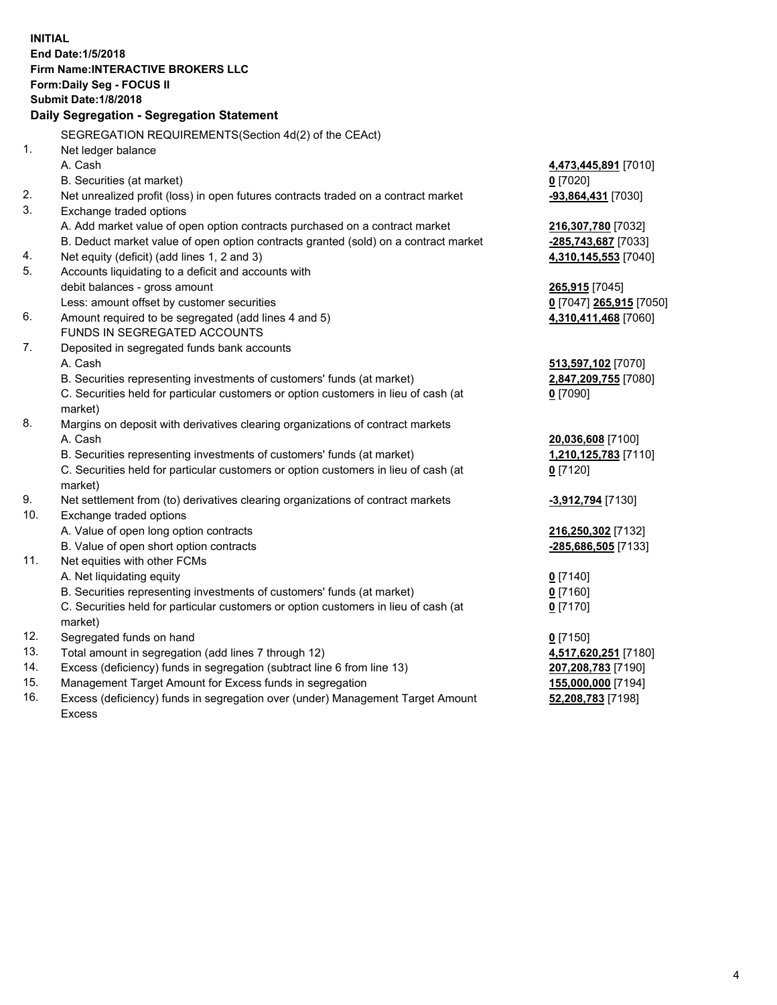**INITIAL End Date:1/5/2018 Firm Name:INTERACTIVE BROKERS LLC Form:Daily Seg - FOCUS II Submit Date:1/8/2018 Daily Segregation - Segregation Statement** SEGREGATION REQUIREMENTS(Section 4d(2) of the CEAct) 1. Net ledger balance A. Cash **4,473,445,891** [7010] B. Securities (at market) **0** [7020] 2. Net unrealized profit (loss) in open futures contracts traded on a contract market **-93,864,431** [7030] 3. Exchange traded options A. Add market value of open option contracts purchased on a contract market **216,307,780** [7032] B. Deduct market value of open option contracts granted (sold) on a contract market **-285,743,687** [7033] 4. Net equity (deficit) (add lines 1, 2 and 3) **4,310,145,553** [7040] 5. Accounts liquidating to a deficit and accounts with debit balances - gross amount **265,915** [7045] Less: amount offset by customer securities **0** [7047] **265,915** [7050] 6. Amount required to be segregated (add lines 4 and 5) **4,310,411,468** [7060] FUNDS IN SEGREGATED ACCOUNTS 7. Deposited in segregated funds bank accounts A. Cash **513,597,102** [7070] B. Securities representing investments of customers' funds (at market) **2,847,209,755** [7080] C. Securities held for particular customers or option customers in lieu of cash (at market) **0** [7090] 8. Margins on deposit with derivatives clearing organizations of contract markets A. Cash **20,036,608** [7100] B. Securities representing investments of customers' funds (at market) **1,210,125,783** [7110] C. Securities held for particular customers or option customers in lieu of cash (at market) **0** [7120] 9. Net settlement from (to) derivatives clearing organizations of contract markets **-3,912,794** [7130] 10. Exchange traded options A. Value of open long option contracts **216,250,302** [7132] B. Value of open short option contracts **-285,686,505** [7133] 11. Net equities with other FCMs A. Net liquidating equity **0** [7140] B. Securities representing investments of customers' funds (at market) **0** [7160] C. Securities held for particular customers or option customers in lieu of cash (at market) **0** [7170] 12. Segregated funds on hand **0** [7150] 13. Total amount in segregation (add lines 7 through 12) **4,517,620,251** [7180] 14. Excess (deficiency) funds in segregation (subtract line 6 from line 13) **207,208,783** [7190] 15. Management Target Amount for Excess funds in segregation **155,000,000** [7194] **52,208,783** [7198]

16. Excess (deficiency) funds in segregation over (under) Management Target Amount Excess